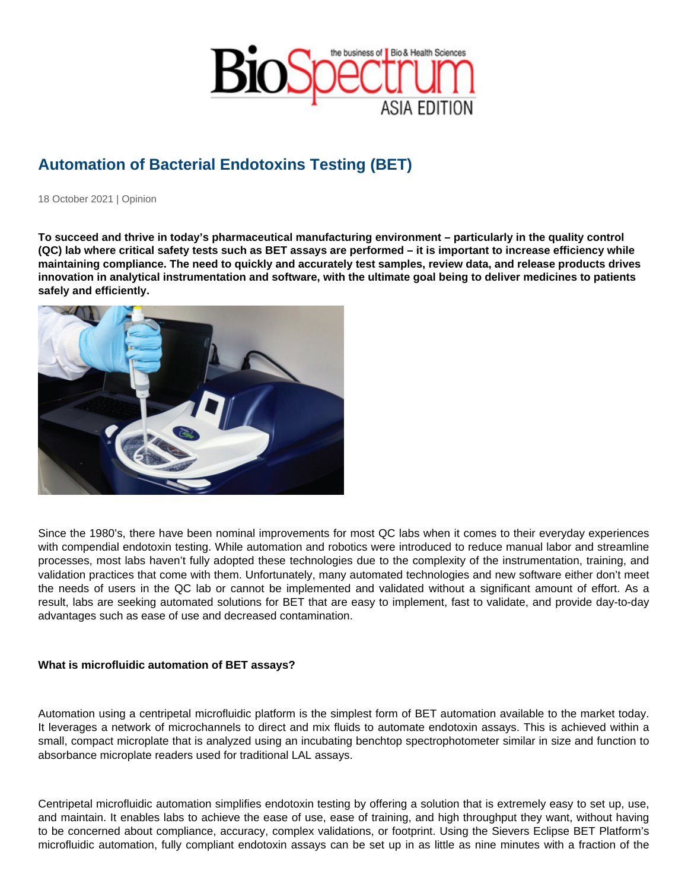# Automation of Bacterial Endotoxins Testing (BET)

18 October 2021 | Opinion

To succeed and thrive in today's pharmaceutical manufacturing environment – particularly in the quality control (QC) lab where critical safety tests such as BET assays are performed – it is important to increase efficiency while maintaining compliance. The need to quickly and accurately test samples, review data, and release products drives innovation in analytical instrumentation and software, with the ultimate goal being to deliver medicines to patients safely and efficiently.

Since the 1980's, there have been nominal improvements for most QC labs when it comes to their everyday experiences with compendial endotoxin testing. While automation and robotics were introduced to reduce manual labor and streamline processes, most labs haven't fully adopted these technologies due to the complexity of the instrumentation, training, and validation practices that come with them. Unfortunately, many automated technologies and new software either don't meet the needs of users in the QC lab or cannot be implemented and validated without a significant amount of effort. As a result, labs are seeking automated solutions for BET that are easy to implement, fast to validate, and provide day-to-day advantages such as ease of use and decreased contamination.

What is microfluidic automation of BET assays?

Automation using a centripetal microfluidic platform is the simplest form of BET automation available to the market today. It leverages a network of microchannels to direct and mix fluids to automate endotoxin assays. This is achieved within a small, compact microplate that is analyzed using an incubating benchtop spectrophotometer similar in size and function to absorbance microplate readers used for traditional LAL assays.

Centripetal microfluidic automation simplifies endotoxin testing by offering a solution that is extremely easy to set up, use, and maintain. It enables labs to achieve the ease of use, ease of training, and high throughput they want, without having to be concerned about compliance, accuracy, complex validations, or footprint. Using the Sievers Eclipse BET Platform's microfluidic automation, fully compliant endotoxin assays can be set up in as little as nine minutes with a fraction of the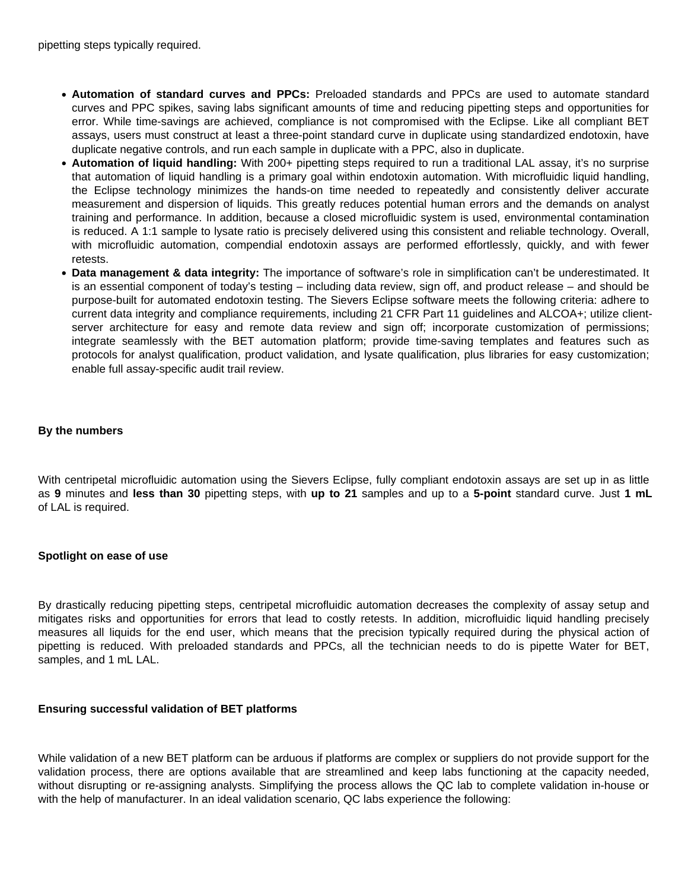- **Automation of standard curves and PPCs:** Preloaded standards and PPCs are used to automate standard curves and PPC spikes, saving labs significant amounts of time and reducing pipetting steps and opportunities for error. While time-savings are achieved, compliance is not compromised with the Eclipse. Like all compliant BET assays, users must construct at least a three-point standard curve in duplicate using standardized endotoxin, have duplicate negative controls, and run each sample in duplicate with a PPC, also in duplicate.
- **Automation of liquid handling:** With 200+ pipetting steps required to run a traditional LAL assay, it's no surprise that automation of liquid handling is a primary goal within endotoxin automation. With microfluidic liquid handling, the Eclipse technology minimizes the hands-on time needed to repeatedly and consistently deliver accurate measurement and dispersion of liquids. This greatly reduces potential human errors and the demands on analyst training and performance. In addition, because a closed microfluidic system is used, environmental contamination is reduced. A 1:1 sample to lysate ratio is precisely delivered using this consistent and reliable technology. Overall, with microfluidic automation, compendial endotoxin assays are performed effortlessly, quickly, and with fewer retests.
- **Data management & data integrity:** The importance of software's role in simplification can't be underestimated. It is an essential component of today's testing – including data review, sign off, and product release – and should be purpose-built for automated endotoxin testing. The Sievers Eclipse software meets the following criteria: adhere to current data integrity and compliance requirements, including 21 CFR Part 11 guidelines and ALCOA+; utilize clientserver architecture for easy and remote data review and sign off; incorporate customization of permissions; integrate seamlessly with the BET automation platform; provide time-saving templates and features such as protocols for analyst qualification, product validation, and lysate qualification, plus libraries for easy customization; enable full assay-specific audit trail review.

## **By the numbers**

With centripetal microfluidic automation using the Sievers Eclipse, fully compliant endotoxin assays are set up in as little as **9** minutes and **less than 30** pipetting steps, with **up to 21** samples and up to a **5-point** standard curve. Just **1 mL** of LAL is required.

## **Spotlight on ease of use**

By drastically reducing pipetting steps, centripetal microfluidic automation decreases the complexity of assay setup and mitigates risks and opportunities for errors that lead to costly retests. In addition, microfluidic liquid handling precisely measures all liquids for the end user, which means that the precision typically required during the physical action of pipetting is reduced. With preloaded standards and PPCs, all the technician needs to do is pipette Water for BET, samples, and 1 mL LAL.

## **Ensuring successful validation of BET platforms**

While validation of a new BET platform can be arduous if platforms are complex or suppliers do not provide support for the validation process, there are options available that are streamlined and keep labs functioning at the capacity needed, without disrupting or re-assigning analysts. Simplifying the process allows the QC lab to complete validation in-house or with the help of manufacturer. In an ideal validation scenario, QC labs experience the following: